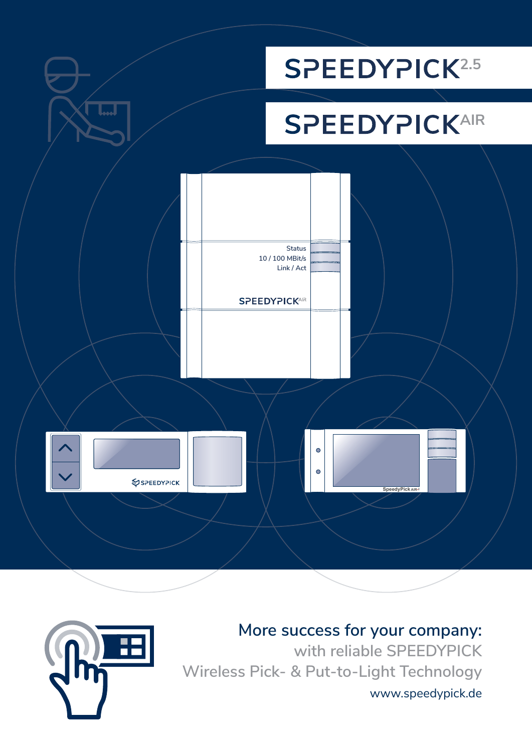



**More success for your company: with reliable SPEEDYPICK Wireless Pick- & Put-to-Light Technology** www.speedypick.de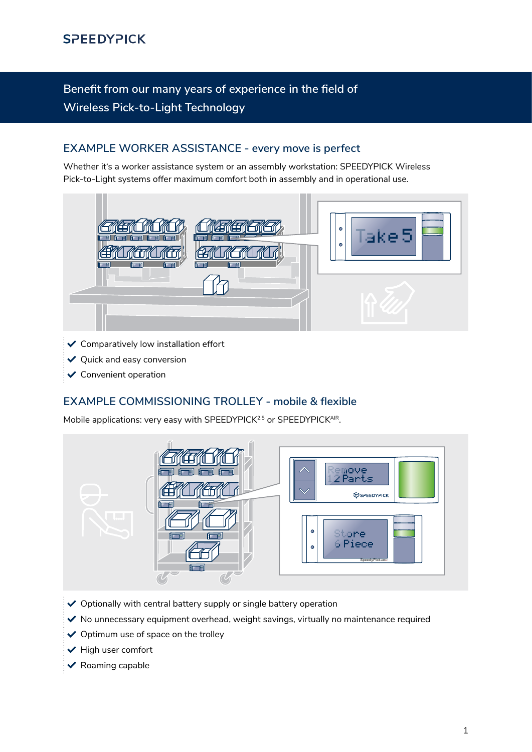# **Benefit from our many years of experience in the field of Wireless Pick-to-Light Technology**

## **EXAMPLE WORKER ASSISTANCE - every move is perfect**

Whether it's a worker assistance system or an assembly workstation: SPEEDYPICK Wireless Pick-to-Light systems offer maximum comfort both in assembly and in operational use.



- $\checkmark$  Comparatively low installation effort
- $\vee$  Quick and easy conversion
- $\checkmark$  Convenient operation

## **EXAMPLE COMMISSIONING TROLLEY - mobile & flexible**

Mobile applications: very easy with SPEEDYPICK<sup>2.5</sup> or SPEEDYPICK<sup>AIR</sup>.



- $\vee$  Optionally with central battery supply or single battery operation
- $\vee$  No unnecessary equipment overhead, weight savings, virtually no maintenance required
- $\vee$  Optimum use of space on the trolley
- $\blacktriangleright$  High user comfort
- $\vee$  Roaming capable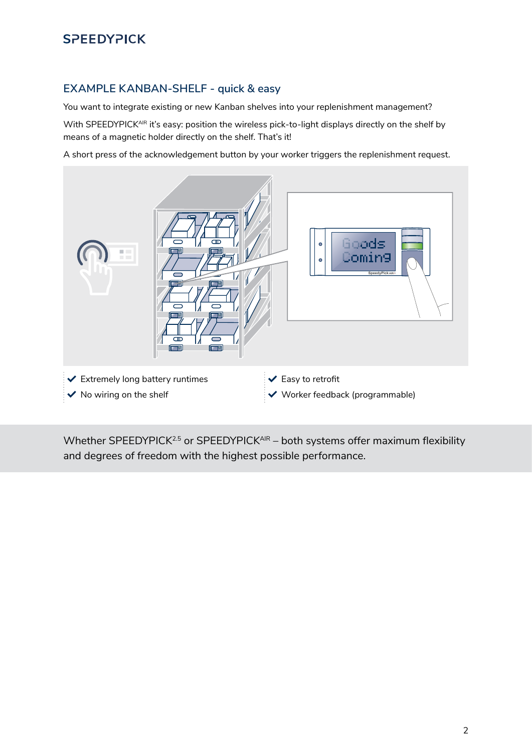# **2.52.5**

### **EXAMPLE KANBAN-SHELF - quick & easy**

You want to integrate existing or new Kanban shelves into your replenishment management?

With SPEEDYPICK<sup>AIR</sup> it's easy: position the wireless pick-to-light displays directly on the shelf by means of a magnetic holder directly on the shelf. That's it!

A short press of the acknowledgement button by your worker triggers the replenishment request.



Whether SPEEDYPICK<sup>2.5</sup> or SPEEDYPICK<sup>AIR</sup> – both systems offer maximum flexibility and degrees of freedom with the highest possible performance.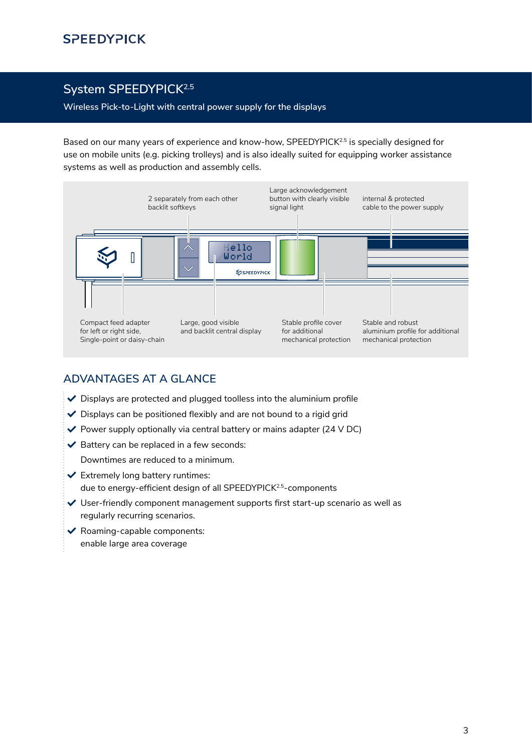## System SPEEDYPICK<sup>2.5</sup>

**Wireless Pick-to-Light with central power supply for the displays**

Based on our many years of experience and know-how, SPEEDYPICK<sup>2.5</sup> is specially designed for use on mobile units (e.g. picking trolleys) and is also ideally suited for equipping worker assistance systems as well as production and assembly cells.



## **ADVANTAGES AT A GLANCE**

- $\vee$  Displays are protected and plugged toolless into the aluminium profile
- $\vee$  Displays can be positioned flexibly and are not bound to a rigid grid
- $\blacktriangledown$  Power supply optionally via central battery or mains adapter (24 V DC)
- $\blacktriangleright$  Battery can be replaced in a few seconds:

Downtimes are reduced to a minimum.

- $\checkmark$  Extremely long battery runtimes: due to energy-efficient design of all SPEEDYPICK<sup>2.5</sup>-components
- User-friendly component management supports first start-up scenario as well as regularly recurring scenarios.
- $\blacktriangleright$  Roaming-capable components: enable large area coverage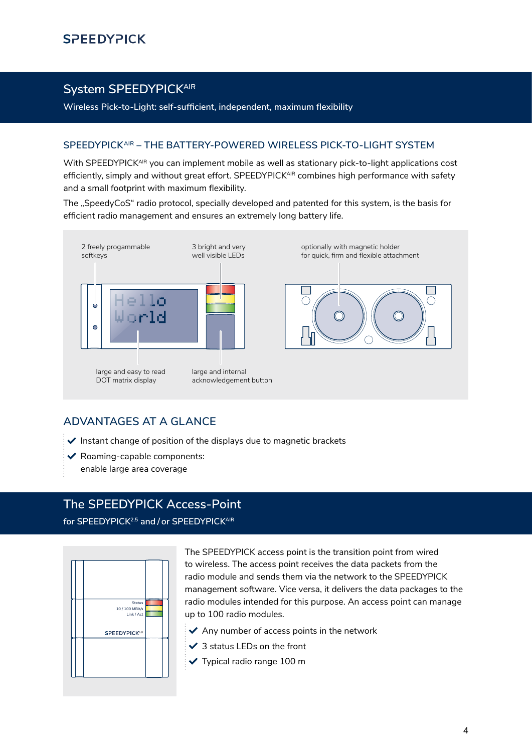## **System SPEEDYPICKAIR**

**Wireless Pick-to-Light: self-sufficient, independent, maximum flexibility**

#### **SPEEDYPICKAIR – THE BATTERY-POWERED WIRELESS PICK-TO-LIGHT SYSTEM**

With SPEEDYPICK<sup>AIR</sup> you can implement mobile as well as stationary pick-to-light applications cost efficiently, simply and without great effort. SPEEDYPICK<sup>AIR</sup> combines high performance with safety and a small footprint with maximum flexibility.

The "SpeedyCoS" radio protocol, specially developed and patented for this system, is the basis for efficient radio management and ensures an extremely long battery life.



### **ADVANTAGES AT A GLANCE**

- $\blacktriangleright$  Instant change of position of the displays due to magnetic brackets
- $\blacktriangleright$  Roaming-capable components:
- enable large area coverage

## **The SPEEDYPICK Access-Point**

**for SPEEDYPICK2.5 and / or SPEEDYPICKAIR**



The SPEEDYPICK access point is the transition point from wired to wireless. The access point receives the data packets from the radio module and sends them via the network to the SPEEDYPICK management software. Vice versa, it delivers the data packages to the radio modules intended for this purpose. An access point can manage up to 100 radio modules.

- $\blacktriangleright$  Any number of access points in the network
- $\checkmark$  3 status LEDs on the front
- Typical radio range 100 m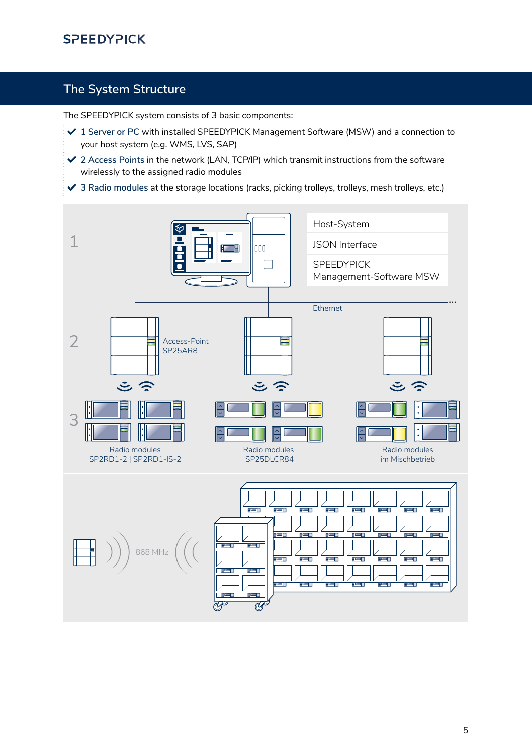# **SPEEDYPICK**

## **The System Structure**

The SPEEDYPICK system consists of 3 basic components:

- **1 Server or PC** with installed SPEEDYPICK Management Software (MSW) and a connection to your host system (e.g. WMS, LVS, SAP)
- **2 Access Points** in the network (LAN, TCP/IP) which transmit instructions from the software wirelessly to the assigned radio modules
- **3 Radio modules** at the storage locations (racks, picking trolleys, trolleys, mesh trolleys, etc.)

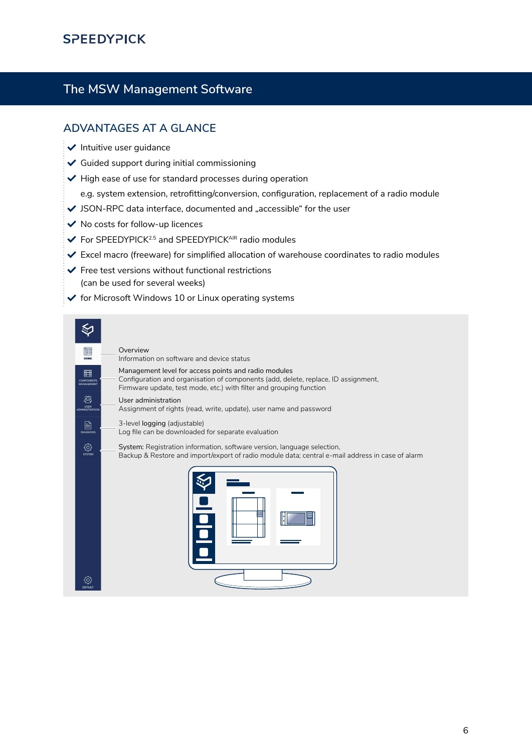## **SPEEDYPICK**

## **The MSW Management Software**

### **ADVANTAGES AT A GLANCE**

- $\vee$  Intuitive user quidance
- $\checkmark$  Guided support during initial commissioning
- $\blacktriangleright$  High ease of use for standard processes during operation
	- e.g. system extension, retrofitting/conversion, configuration, replacement of a radio module
- $\blacktriangleright$  JSON-RPC data interface, documented and "accessible" for the user
- $\checkmark$  No costs for follow-up licences
- $\blacktriangleright$  For SPEEDYPICK<sup>2.5</sup> and SPEEDYPICK<sup>AIR</sup> radio modules
- $\checkmark$  Excel macro (freeware) for simplified allocation of warehouse coordinates to radio modules
- $\blacktriangleright$  Free test versions without functional restrictions (can be used for several weeks)
- $\checkmark$  for Microsoft Windows 10 or Linux operating systems